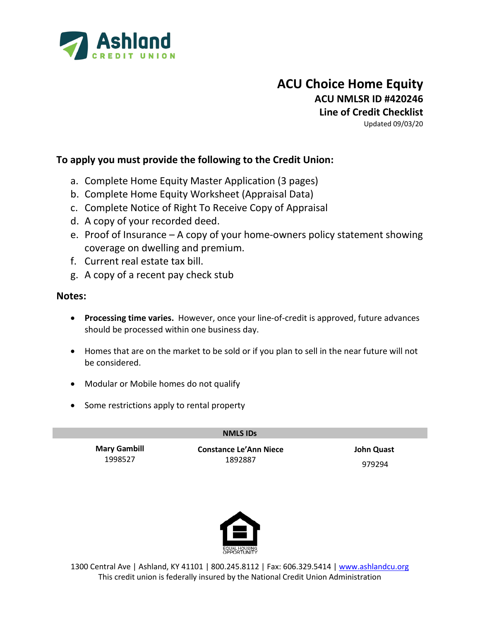

# **ACU Choice Home Equity ACU NMLSR ID #420246 Line of Credit Checklist** Updated 09/03/20

## **To apply you must provide the following to the Credit Union:**

- a. Complete Home Equity Master Application (3 pages)
- b. Complete Home Equity Worksheet (Appraisal Data)
- c. Complete Notice of Right To Receive Copy of Appraisal
- d. A copy of your recorded deed.
- e. Proof of Insurance A copy of your home-owners policy statement showing coverage on dwelling and premium.
- f. Current real estate tax bill.
- g. A copy of a recent pay check stub

### **Notes:**

- **Processing time varies.** However, once your line-of-credit is approved, future advances should be processed within one business day.
- Homes that are on the market to be sold or if you plan to sell in the near future will not be considered.
- Modular or Mobile homes do not qualify
- Some restrictions apply to rental property

#### **NMLS IDs**

**Mary Gambill** 1998527

**Constance Le'Ann Niece** 1892887

**John Quast** 979294



1300 Central Ave | Ashland, KY 41101 | 800.245.8112 | Fax: 606.329.5414 [| www.ashlandcu.org](http://www.ashlandcu.org/) This credit union is federally insured by the National Credit Union Administration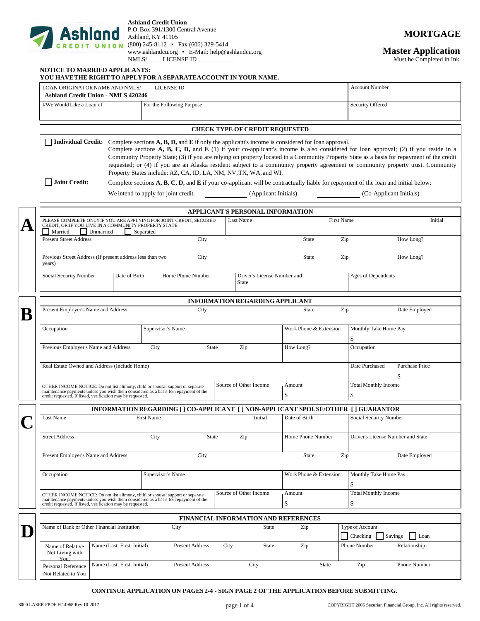

**Ashland Credit Union** P.O. Box 391/1300 Central Avenue Ashland, KY 41105 **UNION** (800) 245-8112 • Fax (606) 329-5414 www.ashlandcu.org • E-Mail: help@ashlandcu.org NMLS/ \_\_\_\_ LICENSE ID\_\_\_\_\_\_\_\_\_\_\_\_

#### **Master Application**

Must be Completed in Ink.

#### **NOTICE TO MARRIED APPLICANTS:**

| LOAN ORIGINATOR NAME AND NMLS/<br><b>Ashland Credit Union - NMLS 420246</b> |                             | <b>LICENSE ID</b>                                                                                                                                                                                                                                                                                                                                                                                                                                                                                                                                                                                                         |       |                                        |                                             | <b>Account Number</b>             |                      |
|-----------------------------------------------------------------------------|-----------------------------|---------------------------------------------------------------------------------------------------------------------------------------------------------------------------------------------------------------------------------------------------------------------------------------------------------------------------------------------------------------------------------------------------------------------------------------------------------------------------------------------------------------------------------------------------------------------------------------------------------------------------|-------|----------------------------------------|---------------------------------------------|-----------------------------------|----------------------|
| I/We Would Like a Loan of                                                   |                             | For the Following Purpose                                                                                                                                                                                                                                                                                                                                                                                                                                                                                                                                                                                                 |       |                                        |                                             | Security Offered                  |                      |
|                                                                             |                             |                                                                                                                                                                                                                                                                                                                                                                                                                                                                                                                                                                                                                           |       | <b>CHECK TYPE OF CREDIT REQUESTED</b>  |                                             |                                   |                      |
|                                                                             |                             | <b>Individual Credit:</b> Complete sections A, B, D, and E if only the applicant's income is considered for loan approval.<br>Complete sections $A, B, C, D$ , and $E(1)$ if your co-applicant's income is also considered for loan approval; (2) if you reside in a<br>Community Property State; (3) if you are relying on property located in a Community Property State as a basis for repayment of the credit<br>requested; or (4) if you are an Alaska resident subject to a community property agreement or community property trust. Community<br>Property States include: AZ, CA, ID, LA, NM, NV, TX, WA, and WI. |       |                                        |                                             |                                   |                      |
| Joint Credit:                                                               |                             | Complete sections $A, B, C, D$ , and $E$ if your co-applicant will be contractually liable for repayment of the loan and initial below:<br>We intend to apply for joint credit.                                                                                                                                                                                                                                                                                                                                                                                                                                           |       | (Applicant Initials)                   |                                             | (Co-Applicant Initials)           |                      |
|                                                                             |                             |                                                                                                                                                                                                                                                                                                                                                                                                                                                                                                                                                                                                                           |       | APPLICANT'S PERSONAL INFORMATION       |                                             |                                   |                      |
| CREDIT, OR IF YOU LIVE IN A COMMUNITY PROPERTY STATE.                       |                             | PLEASE COMPLETE ONLY IF YOU ARE APPLYING FOR JOINT CREDIT, SECURED                                                                                                                                                                                                                                                                                                                                                                                                                                                                                                                                                        |       | Last Name                              |                                             | First Name                        | Initial              |
| Married<br>Unmarried<br><b>Present Street Address</b>                       | Separated                   | City                                                                                                                                                                                                                                                                                                                                                                                                                                                                                                                                                                                                                      |       |                                        | State                                       | Zip                               | How Long?            |
| Previous Street Address (If present address less than two<br>years)         |                             | City                                                                                                                                                                                                                                                                                                                                                                                                                                                                                                                                                                                                                      |       |                                        | State                                       | Zip                               | How Long?            |
| Social Security Number                                                      | Date of Birth               | Home Phone Number                                                                                                                                                                                                                                                                                                                                                                                                                                                                                                                                                                                                         |       | Driver's License Number and<br>State   |                                             | Ages of Dependents                |                      |
|                                                                             |                             |                                                                                                                                                                                                                                                                                                                                                                                                                                                                                                                                                                                                                           |       | <b>INFORMATION REGARDING APPLICANT</b> |                                             |                                   |                      |
| Present Employer's Name and Address                                         |                             | City                                                                                                                                                                                                                                                                                                                                                                                                                                                                                                                                                                                                                      |       |                                        | State                                       | Zip                               | Date Employed        |
| Occupation                                                                  |                             | Supervisor's Name                                                                                                                                                                                                                                                                                                                                                                                                                                                                                                                                                                                                         |       |                                        | Work Phone & Extension                      | Monthly Take Home Pay<br>\$       |                      |
| Previous Employer's Name and Address                                        |                             | City                                                                                                                                                                                                                                                                                                                                                                                                                                                                                                                                                                                                                      | State | Zip                                    | How Long?                                   | Occupation                        |                      |
| Real Estate Owned and Address (Include Home)                                |                             |                                                                                                                                                                                                                                                                                                                                                                                                                                                                                                                                                                                                                           |       |                                        |                                             | Date Purchased                    | Purchase Price<br>\$ |
| credit requested. If listed, verification may be requested.                 |                             | OTHER INCOME NOTICE: Do not list alimony, child or spousal support or separate maintenance payments unless you wish them considered as a basis for repayment of the                                                                                                                                                                                                                                                                                                                                                                                                                                                       |       | Source of Other Income                 | Amount<br>\$                                | <b>Total Monthly Income</b><br>\$ |                      |
|                                                                             |                             | INFORMATION REGARDING [ ] CO-APPLICANT [ ] NON-APPLICANT SPOUSE/OTHER [ ] GUARANTOR                                                                                                                                                                                                                                                                                                                                                                                                                                                                                                                                       |       |                                        |                                             |                                   |                      |
| Last Name                                                                   |                             | <b>First Name</b>                                                                                                                                                                                                                                                                                                                                                                                                                                                                                                                                                                                                         |       | Initial                                | Date of Birth                               | Social Security Number            |                      |
| <b>Street Address</b>                                                       |                             | City                                                                                                                                                                                                                                                                                                                                                                                                                                                                                                                                                                                                                      | State | Zip                                    | Home Phone Number                           | Driver's License Number and State |                      |
| Present Employer's Name and Address                                         |                             | City                                                                                                                                                                                                                                                                                                                                                                                                                                                                                                                                                                                                                      |       |                                        | State                                       | Zip                               | Date Employed        |
| Occupation                                                                  |                             | Supervisor's Name                                                                                                                                                                                                                                                                                                                                                                                                                                                                                                                                                                                                         |       |                                        | Work Phone & Extension                      | Monthly Take Home Pay<br>\$       |                      |
| credit requested. If listed, verification may be requested.                 |                             | OTHER INCOME NOTICE: Do not list alimony, child or spousal support or separate<br>maintenance payments unless you wish them considered as a basis for repayment of the                                                                                                                                                                                                                                                                                                                                                                                                                                                    |       | Source of Other Income                 | Amount<br>\$                                | <b>Total Monthly Income</b><br>\$ |                      |
|                                                                             |                             |                                                                                                                                                                                                                                                                                                                                                                                                                                                                                                                                                                                                                           |       |                                        | <b>FINANCIAL INFORMATION AND REFERENCES</b> |                                   |                      |
| Name of Bank or Other Financial Institution                                 |                             | City                                                                                                                                                                                                                                                                                                                                                                                                                                                                                                                                                                                                                      |       | State                                  | Zip                                         | Type of Account<br>Checking       | Savings<br>Loan      |
| Name of Relative<br>Not Living with<br>You.                                 | Name (Last, First, Initial) | <b>Present Address</b>                                                                                                                                                                                                                                                                                                                                                                                                                                                                                                                                                                                                    | City  | State                                  | Zip                                         | Phone Number                      | Relationship         |
| Personal Reference<br>Not Related to You                                    | Name (Last, First, Initial) | <b>Present Address</b>                                                                                                                                                                                                                                                                                                                                                                                                                                                                                                                                                                                                    |       | City                                   | State                                       | Zip                               | Phone Number         |

**CONTINUE APPLICATION ON PAGES 2-4 - SIGN PAGE 2 OF THE APPLICATION BEFORE SUBMITTING.**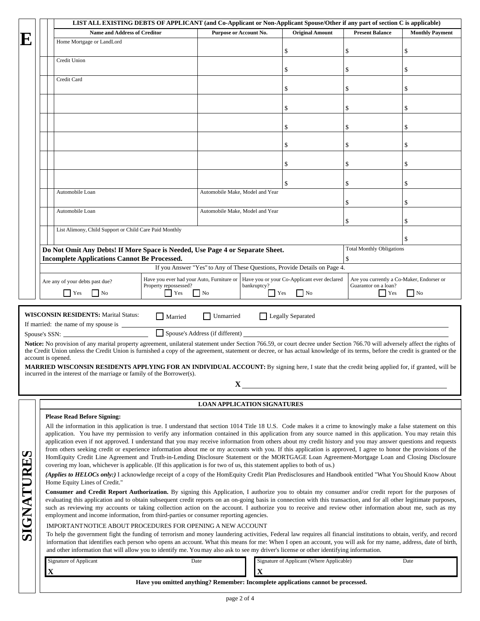|                       |                                                                                                                                                                                                                                                                                                                                                                                                                       | LIST ALL EXISTING DEBTS OF APPLICANT (and Co-Applicant or Non-Applicant Spouse/Other if any part of section C is applicable)                                                                                                                                                                                                                                                                                                                                                                                                                                                                                                                                                                                                                                            |                                           |                                    |                      |                                                                                                                          |                                            |                        |
|-----------------------|-----------------------------------------------------------------------------------------------------------------------------------------------------------------------------------------------------------------------------------------------------------------------------------------------------------------------------------------------------------------------------------------------------------------------|-------------------------------------------------------------------------------------------------------------------------------------------------------------------------------------------------------------------------------------------------------------------------------------------------------------------------------------------------------------------------------------------------------------------------------------------------------------------------------------------------------------------------------------------------------------------------------------------------------------------------------------------------------------------------------------------------------------------------------------------------------------------------|-------------------------------------------|------------------------------------|----------------------|--------------------------------------------------------------------------------------------------------------------------|--------------------------------------------|------------------------|
|                       |                                                                                                                                                                                                                                                                                                                                                                                                                       | <b>Name and Address of Creditor</b>                                                                                                                                                                                                                                                                                                                                                                                                                                                                                                                                                                                                                                                                                                                                     |                                           | <b>Purpose or Account No.</b>      |                      | <b>Original Amount</b>                                                                                                   | <b>Present Balance</b>                     | <b>Monthly Payment</b> |
| $\mathbf E$           |                                                                                                                                                                                                                                                                                                                                                                                                                       | Home Mortgage or LandLord                                                                                                                                                                                                                                                                                                                                                                                                                                                                                                                                                                                                                                                                                                                                               |                                           |                                    |                      | \$                                                                                                                       | \$                                         | \$                     |
|                       |                                                                                                                                                                                                                                                                                                                                                                                                                       | Credit Union                                                                                                                                                                                                                                                                                                                                                                                                                                                                                                                                                                                                                                                                                                                                                            |                                           |                                    |                      | \$                                                                                                                       | \$                                         | \$                     |
|                       |                                                                                                                                                                                                                                                                                                                                                                                                                       | Credit Card                                                                                                                                                                                                                                                                                                                                                                                                                                                                                                                                                                                                                                                                                                                                                             |                                           |                                    |                      |                                                                                                                          |                                            |                        |
|                       |                                                                                                                                                                                                                                                                                                                                                                                                                       |                                                                                                                                                                                                                                                                                                                                                                                                                                                                                                                                                                                                                                                                                                                                                                         |                                           |                                    |                      | S                                                                                                                        | \$                                         | \$                     |
|                       |                                                                                                                                                                                                                                                                                                                                                                                                                       |                                                                                                                                                                                                                                                                                                                                                                                                                                                                                                                                                                                                                                                                                                                                                                         |                                           |                                    |                      | S                                                                                                                        | \$                                         | \$                     |
|                       |                                                                                                                                                                                                                                                                                                                                                                                                                       |                                                                                                                                                                                                                                                                                                                                                                                                                                                                                                                                                                                                                                                                                                                                                                         |                                           |                                    |                      | S                                                                                                                        | \$                                         | \$                     |
|                       |                                                                                                                                                                                                                                                                                                                                                                                                                       |                                                                                                                                                                                                                                                                                                                                                                                                                                                                                                                                                                                                                                                                                                                                                                         |                                           |                                    |                      | S                                                                                                                        | \$                                         | \$                     |
|                       |                                                                                                                                                                                                                                                                                                                                                                                                                       |                                                                                                                                                                                                                                                                                                                                                                                                                                                                                                                                                                                                                                                                                                                                                                         |                                           |                                    |                      | S                                                                                                                        | \$                                         | \$                     |
|                       |                                                                                                                                                                                                                                                                                                                                                                                                                       |                                                                                                                                                                                                                                                                                                                                                                                                                                                                                                                                                                                                                                                                                                                                                                         |                                           |                                    |                      | \$                                                                                                                       | \$                                         | \$                     |
|                       |                                                                                                                                                                                                                                                                                                                                                                                                                       | Automobile Loan                                                                                                                                                                                                                                                                                                                                                                                                                                                                                                                                                                                                                                                                                                                                                         |                                           | Automobile Make, Model and Year    |                      |                                                                                                                          | \$                                         | \$                     |
|                       |                                                                                                                                                                                                                                                                                                                                                                                                                       | Automobile Loan                                                                                                                                                                                                                                                                                                                                                                                                                                                                                                                                                                                                                                                                                                                                                         |                                           | Automobile Make, Model and Year    |                      |                                                                                                                          |                                            |                        |
|                       |                                                                                                                                                                                                                                                                                                                                                                                                                       | List Alimony, Child Support or Child Care Paid Monthly                                                                                                                                                                                                                                                                                                                                                                                                                                                                                                                                                                                                                                                                                                                  |                                           |                                    |                      |                                                                                                                          | \$                                         | \$                     |
|                       |                                                                                                                                                                                                                                                                                                                                                                                                                       | Do Not Omit Any Debts! If More Space is Needed, Use Page 4 or Separate Sheet.                                                                                                                                                                                                                                                                                                                                                                                                                                                                                                                                                                                                                                                                                           |                                           |                                    |                      |                                                                                                                          | <b>Total Monthly Obligations</b>           | \$                     |
|                       |                                                                                                                                                                                                                                                                                                                                                                                                                       | <b>Incomplete Applications Cannot Be Processed.</b>                                                                                                                                                                                                                                                                                                                                                                                                                                                                                                                                                                                                                                                                                                                     |                                           |                                    |                      | If you Answer "Yes" to Any of These Questions, Provide Details on Page 4.                                                | \$                                         |                        |
|                       |                                                                                                                                                                                                                                                                                                                                                                                                                       | Are any of your debts past due?                                                                                                                                                                                                                                                                                                                                                                                                                                                                                                                                                                                                                                                                                                                                         | Have you ever had your Auto, Furniture or |                                    |                      | Have you or your Co-Applicant ever declared                                                                              | Are you currently a Co-Maker, Endorser or  |                        |
|                       |                                                                                                                                                                                                                                                                                                                                                                                                                       | Yes<br>$\overline{\phantom{a}}$ No                                                                                                                                                                                                                                                                                                                                                                                                                                                                                                                                                                                                                                                                                                                                      | Property repossessed?<br>$\Gamma$ Yes     | $\overline{\phantom{a}}$ No        | bankruptcy?<br>  Yes | $\vert$ No                                                                                                               | Guarantor on a loan?<br>$\blacksquare$ Yes | N <sub>0</sub>         |
|                       | <b>WISCONSIN RESIDENTS: Marital Status:</b><br>Legally Separated<br>Unmarried<br>$\Box$ Married                                                                                                                                                                                                                                                                                                                       |                                                                                                                                                                                                                                                                                                                                                                                                                                                                                                                                                                                                                                                                                                                                                                         |                                           |                                    |                      |                                                                                                                          |                                            |                        |
|                       |                                                                                                                                                                                                                                                                                                                                                                                                                       |                                                                                                                                                                                                                                                                                                                                                                                                                                                                                                                                                                                                                                                                                                                                                                         |                                           |                                    |                      | the control of the control of the control of the control of                                                              |                                            |                        |
|                       | Spouse's Address (if different)<br>Notice: No provision of any marital property agreement, unilateral statement under Section 766.59, or court decree under Section 766.70 will adversely affect the rights of<br>the Credit Union unless the Credit Union is furnished a copy of the agreement, statement or decree, or has actual knowledge of its terms, before the credit is granted or the<br>account is opened. |                                                                                                                                                                                                                                                                                                                                                                                                                                                                                                                                                                                                                                                                                                                                                                         |                                           |                                    |                      |                                                                                                                          |                                            |                        |
|                       |                                                                                                                                                                                                                                                                                                                                                                                                                       | MARRIED WISCONSIN RESIDENTS APPLYING FOR AN INDIVIDUAL ACCOUNT: By signing here, I state that the credit being applied for, if granted, will be<br>incurred in the interest of the marriage or family of the Borrower(s).                                                                                                                                                                                                                                                                                                                                                                                                                                                                                                                                               |                                           |                                    |                      |                                                                                                                          |                                            |                        |
|                       |                                                                                                                                                                                                                                                                                                                                                                                                                       |                                                                                                                                                                                                                                                                                                                                                                                                                                                                                                                                                                                                                                                                                                                                                                         |                                           |                                    |                      | $\mathbf{X}_{\perp}$ and $\mathbf{X}_{\perp}$ and $\mathbf{X}_{\perp}$ and $\mathbf{X}_{\perp}$ and $\mathbf{X}_{\perp}$ |                                            |                        |
|                       |                                                                                                                                                                                                                                                                                                                                                                                                                       |                                                                                                                                                                                                                                                                                                                                                                                                                                                                                                                                                                                                                                                                                                                                                                         |                                           | <b>LOAN APPLICATION SIGNATURES</b> |                      |                                                                                                                          |                                            |                        |
|                       |                                                                                                                                                                                                                                                                                                                                                                                                                       | <b>Please Read Before Signing:</b><br>All the information in this application is true. I understand that section 1014 Title 18 U.S. Code makes it a crime to knowingly make a false statement on this<br>application. You have my permission to verify any information contained in this application from any source named in this application. You may retain this                                                                                                                                                                                                                                                                                                                                                                                                     |                                           |                                    |                      |                                                                                                                          |                                            |                        |
| $\boldsymbol{\omega}$ |                                                                                                                                                                                                                                                                                                                                                                                                                       | application even if not approved. I understand that you may receive information from others about my credit history and you may answer questions and requests<br>from others seeking credit or experience information about me or my accounts with you. If this application is approved, I agree to honor the provisions of the<br>HomEquity Credit Line Agreement and Truth-in-Lending Disclosure Statement or the MORTGAGE Loan Agreement-Mortgage Loan and Closing Disclosure<br>covering my loan, whichever is applicable. (If this application is for two of us, this statement applies to both of us.)<br>(Applies to HELOCs only:) I acknowledge receipt of a copy of the HomEquity Credit Plan Predisclosures and Handbook entitled "What You Should Know About |                                           |                                    |                      |                                                                                                                          |                                            |                        |
|                       |                                                                                                                                                                                                                                                                                                                                                                                                                       | Home Equity Lines of Credit."                                                                                                                                                                                                                                                                                                                                                                                                                                                                                                                                                                                                                                                                                                                                           |                                           |                                    |                      |                                                                                                                          |                                            |                        |
| SIGNATURE             |                                                                                                                                                                                                                                                                                                                                                                                                                       | Consumer and Credit Report Authorization. By signing this Application, I authorize you to obtain my consumer and/or credit report for the purposes of<br>evaluating this application and to obtain subsequent credit reports on an on-going basis in connection with this transaction, and for all other legitimate purposes,<br>such as reviewing my accounts or taking collection action on the account. I authorize you to receive and review other information about me, such as my<br>employment and income information, from third-parties or consumer reporting agencies.                                                                                                                                                                                        |                                           |                                    |                      |                                                                                                                          |                                            |                        |
|                       |                                                                                                                                                                                                                                                                                                                                                                                                                       | IMPORTANT NOTICE ABOUT PROCEDURES FOR OPENING A NEW ACCOUNT<br>To help the government fight the funding of terrorism and money laundering activities, Federal law requires all financial institutions to obtain, verify, and record<br>information that identifies each person who opens an account. What this means for me: When I open an account, you will ask for my name, address, date of birth,<br>and other information that will allow you to identify me. You may also ask to see my driver's license or other identifying information.                                                                                                                                                                                                                       |                                           |                                    |                      |                                                                                                                          |                                            |                        |
|                       |                                                                                                                                                                                                                                                                                                                                                                                                                       | Signature of Applicant<br>$\mathbf X$                                                                                                                                                                                                                                                                                                                                                                                                                                                                                                                                                                                                                                                                                                                                   |                                           | Date                               | $\mathbf X$          | Signature of Applicant (Where Applicable)                                                                                |                                            | Date                   |

| Have you omitted anything? Remember: Incomplete applications cannot be processed. |  |  |
|-----------------------------------------------------------------------------------|--|--|
|                                                                                   |  |  |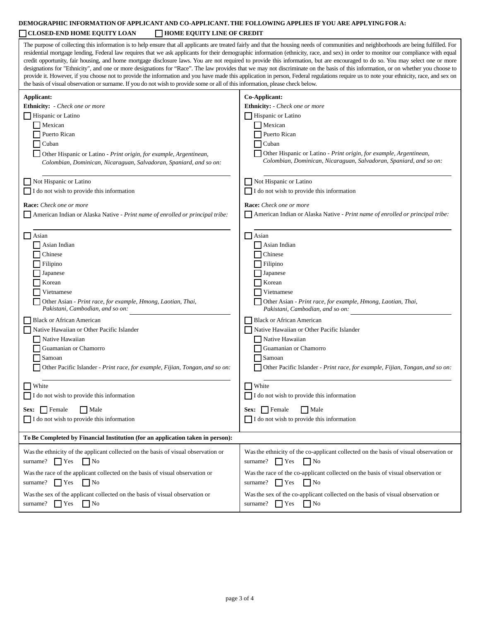#### **DEMOGRAPHIC INFORMATION OF APPLICANT AND CO-APPLICANT. THE FOLLOWING APPLIES IF YOU ARE APPLYING FOR A: CLOSED-END HOME EQUITY LOAN HOME EQUITY LINE OF CREDIT**

| The purpose of collecting this information is to help ensure that all applicants are treated fairly and that the housing needs of communities and neighborhoods are being fulfilled. For<br>residential mortgage lending, Federal law requires that we ask applicants for their demographic information (ethnicity, race, and sex) in order to monitor our compliance with equal<br>credit opportunity, fair housing, and home mortgage disclosure laws. You are not required to provide this information, but are encouraged to do so. You may select one or more<br>the basis of visual observation or surname. If you do not wish to provide some or all of this information, please check below. | designations for "Ethnicity", and one or more designations for "Race". The law provides that we may not discriminate on the basis of this information, or on whether you choose to<br>provide it. However, if you choose not to provide the information and you have made this application in person, Federal regulations require us to note your ethnicity, race, and sex on                                                |
|------------------------------------------------------------------------------------------------------------------------------------------------------------------------------------------------------------------------------------------------------------------------------------------------------------------------------------------------------------------------------------------------------------------------------------------------------------------------------------------------------------------------------------------------------------------------------------------------------------------------------------------------------------------------------------------------------|------------------------------------------------------------------------------------------------------------------------------------------------------------------------------------------------------------------------------------------------------------------------------------------------------------------------------------------------------------------------------------------------------------------------------|
| Applicant:                                                                                                                                                                                                                                                                                                                                                                                                                                                                                                                                                                                                                                                                                           | Co-Applicant:                                                                                                                                                                                                                                                                                                                                                                                                                |
| <b>Ethnicity:</b> - Check one or more                                                                                                                                                                                                                                                                                                                                                                                                                                                                                                                                                                                                                                                                | Ethnicity: - Check one or more                                                                                                                                                                                                                                                                                                                                                                                               |
| Hispanic or Latino                                                                                                                                                                                                                                                                                                                                                                                                                                                                                                                                                                                                                                                                                   | Hispanic or Latino                                                                                                                                                                                                                                                                                                                                                                                                           |
| Mexican                                                                                                                                                                                                                                                                                                                                                                                                                                                                                                                                                                                                                                                                                              | Mexican                                                                                                                                                                                                                                                                                                                                                                                                                      |
| Puerto Rican                                                                                                                                                                                                                                                                                                                                                                                                                                                                                                                                                                                                                                                                                         | Puerto Rican                                                                                                                                                                                                                                                                                                                                                                                                                 |
| $\Box$ Cuban                                                                                                                                                                                                                                                                                                                                                                                                                                                                                                                                                                                                                                                                                         | Cuban                                                                                                                                                                                                                                                                                                                                                                                                                        |
| Other Hispanic or Latino - Print origin, for example, Argentinean,                                                                                                                                                                                                                                                                                                                                                                                                                                                                                                                                                                                                                                   | Other Hispanic or Latino - Print origin, for example, Argentinean,                                                                                                                                                                                                                                                                                                                                                           |
| Colombian, Dominican, Nicaraguan, Salvadoran, Spaniard, and so on:                                                                                                                                                                                                                                                                                                                                                                                                                                                                                                                                                                                                                                   | Colombian, Dominican, Nicaraguan, Salvadoran, Spaniard, and so on:                                                                                                                                                                                                                                                                                                                                                           |
| Not Hispanic or Latino                                                                                                                                                                                                                                                                                                                                                                                                                                                                                                                                                                                                                                                                               | Not Hispanic or Latino                                                                                                                                                                                                                                                                                                                                                                                                       |
| I do not wish to provide this information                                                                                                                                                                                                                                                                                                                                                                                                                                                                                                                                                                                                                                                            | I do not wish to provide this information                                                                                                                                                                                                                                                                                                                                                                                    |
| <b>Race:</b> Check one or more                                                                                                                                                                                                                                                                                                                                                                                                                                                                                                                                                                                                                                                                       | <b>Race:</b> Check one or more                                                                                                                                                                                                                                                                                                                                                                                               |
| American Indian or Alaska Native - Print name of enrolled or principal tribe:                                                                                                                                                                                                                                                                                                                                                                                                                                                                                                                                                                                                                        | American Indian or Alaska Native - Print name of enrolled or principal tribe:                                                                                                                                                                                                                                                                                                                                                |
| Asian<br>Asian Indian<br>Chinese<br>Filipino<br>Japanese<br>Korean<br>Vietnamese<br>Other Asian - Print race, for example, Hmong, Laotian, Thai,<br>Pakistani, Cambodian, and so on:<br><b>Black or African American</b><br>Native Hawaiian or Other Pacific Islander<br>Native Hawaiian<br>Guamanian or Chamorro<br>Samoan<br>Other Pacific Islander - Print race, for example, Fijian, Tongan, and so on:                                                                                                                                                                                                                                                                                          | Asian<br>$\mathcal{L}$<br>Asian Indian<br>Chinese<br>Filipino<br>Japanese<br>Korean<br>Vietnamese<br>Other Asian - Print race, for example, Hmong, Laotian, Thai,<br>Pakistani, Cambodian, and so on:<br><b>Black or African American</b><br>Native Hawaiian or Other Pacific Islander<br>Native Hawaiian<br>Guamanian or Chamorro<br>Samoan<br>Other Pacific Islander - Print race, for example, Fijian, Tongan, and so on: |
| $\Box$ White                                                                                                                                                                                                                                                                                                                                                                                                                                                                                                                                                                                                                                                                                         | $\Box$ White                                                                                                                                                                                                                                                                                                                                                                                                                 |
| $\Box$ I do not wish to provide this information                                                                                                                                                                                                                                                                                                                                                                                                                                                                                                                                                                                                                                                     | $\Box$ I do not wish to provide this information                                                                                                                                                                                                                                                                                                                                                                             |
| $Sex:$ Female                                                                                                                                                                                                                                                                                                                                                                                                                                                                                                                                                                                                                                                                                        | Sex: $\Box$ Female                                                                                                                                                                                                                                                                                                                                                                                                           |
| $\Box$ Male                                                                                                                                                                                                                                                                                                                                                                                                                                                                                                                                                                                                                                                                                          | Male                                                                                                                                                                                                                                                                                                                                                                                                                         |
| I do not wish to provide this information                                                                                                                                                                                                                                                                                                                                                                                                                                                                                                                                                                                                                                                            | I do not wish to provide this information                                                                                                                                                                                                                                                                                                                                                                                    |
| To Be Completed by Financial Institution (for an application taken in person):                                                                                                                                                                                                                                                                                                                                                                                                                                                                                                                                                                                                                       |                                                                                                                                                                                                                                                                                                                                                                                                                              |
| Was the ethnicity of the applicant collected on the basis of visual observation or<br>surname? Yes<br>$\Box$ No<br>Was the race of the applicant collected on the basis of visual observation or<br>surname? $\Box$ Yes $\Box$ No<br>Was the sex of the applicant collected on the basis of visual observation or                                                                                                                                                                                                                                                                                                                                                                                    | Was the ethnicity of the co-applicant collected on the basis of visual observation or<br>surname? Yes<br>$\Box$ No<br>Was the race of the co-applicant collected on the basis of visual observation or<br>surname?<br>$\blacksquare$ Yes<br>$\Box$ No<br>Was the sex of the co-applicant collected on the basis of visual observation or                                                                                     |
| $\Gamma$ Yes                                                                                                                                                                                                                                                                                                                                                                                                                                                                                                                                                                                                                                                                                         | surname?                                                                                                                                                                                                                                                                                                                                                                                                                     |
| $\Box$ No                                                                                                                                                                                                                                                                                                                                                                                                                                                                                                                                                                                                                                                                                            | $\blacksquare$ Yes                                                                                                                                                                                                                                                                                                                                                                                                           |
| surname?                                                                                                                                                                                                                                                                                                                                                                                                                                                                                                                                                                                                                                                                                             | $\Box$ No                                                                                                                                                                                                                                                                                                                                                                                                                    |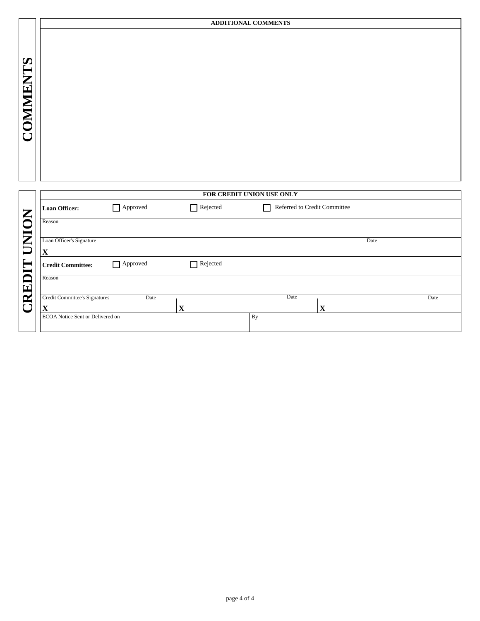|                                                                     |          |                  | ADDITIONAL COMMENTS               |             |      |
|---------------------------------------------------------------------|----------|------------------|-----------------------------------|-------------|------|
|                                                                     |          |                  |                                   |             |      |
|                                                                     |          |                  |                                   |             |      |
|                                                                     |          |                  |                                   |             |      |
|                                                                     |          |                  |                                   |             |      |
|                                                                     |          |                  |                                   |             |      |
|                                                                     |          |                  |                                   |             |      |
|                                                                     |          |                  |                                   |             |      |
|                                                                     |          |                  |                                   |             |      |
|                                                                     |          |                  |                                   |             |      |
|                                                                     |          |                  |                                   |             |      |
|                                                                     |          |                  |                                   |             |      |
|                                                                     |          |                  |                                   |             |      |
|                                                                     |          |                  |                                   |             |      |
|                                                                     |          |                  | FOR CREDIT UNION USE ONLY         |             |      |
| <b>Loan Officer:</b>                                                | Approved | Rejected         | Referred to Credit Committee<br>┍ |             |      |
|                                                                     |          |                  |                                   |             |      |
|                                                                     |          |                  |                                   |             |      |
| Reason                                                              |          |                  |                                   |             |      |
|                                                                     |          |                  |                                   | Date        |      |
|                                                                     |          |                  |                                   |             |      |
| Loan Officer's Signature<br>$\mathbf X$<br><b>Credit Committee:</b> | Approved | $\prod$ Rejected |                                   |             |      |
|                                                                     |          |                  |                                   |             |      |
|                                                                     | Date     |                  | Date                              |             | Date |
| Reason<br>Credit Committee's Signatures<br>$\mathbf X$              |          | $\mathbf X$      |                                   | $\mathbf X$ |      |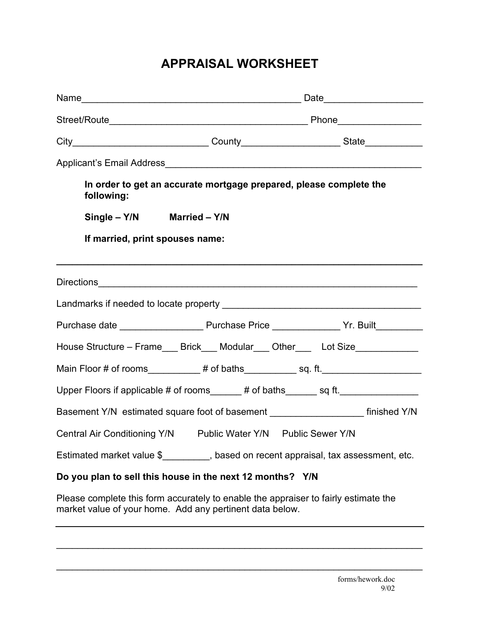# **APPRAISAL WORKSHEET**

| following:                      | In order to get an accurate mortgage prepared, please complete the |                                                                                     |
|---------------------------------|--------------------------------------------------------------------|-------------------------------------------------------------------------------------|
| Single - Y/N Married - Y/N      |                                                                    |                                                                                     |
| If married, print spouses name: |                                                                    |                                                                                     |
|                                 |                                                                    |                                                                                     |
|                                 |                                                                    |                                                                                     |
|                                 |                                                                    |                                                                                     |
|                                 |                                                                    |                                                                                     |
|                                 |                                                                    | House Structure - Frame___ Brick___ Modular___ Other___ Lot Size____________        |
|                                 |                                                                    | Main Floor # of rooms_________# of baths__________ sq. ft._____________________     |
|                                 |                                                                    | Upper Floors if applicable # of rooms______ # of baths______ sq ft._____________    |
|                                 |                                                                    | Basement Y/N estimated square foot of basement ______________________ finished Y/N  |
|                                 | Central Air Conditioning Y/N Public Water Y/N Public Sewer Y/N     |                                                                                     |
|                                 |                                                                    | Estimated market value \$_________, based on recent appraisal, tax assessment, etc. |
|                                 | Do you plan to sell this house in the next 12 months? Y/N          |                                                                                     |

Please complete this form accurately to enable the appraiser to fairly estimate the market value of your home. Add any pertinent data below.

\_\_\_\_\_\_\_\_\_\_\_\_\_\_\_\_\_\_\_\_\_\_\_\_\_\_\_\_\_\_\_\_\_\_\_\_\_\_\_\_\_\_\_\_\_\_\_\_\_\_\_\_\_\_\_\_\_\_\_\_\_\_\_\_\_\_\_\_\_\_

\_\_\_\_\_\_\_\_\_\_\_\_\_\_\_\_\_\_\_\_\_\_\_\_\_\_\_\_\_\_\_\_\_\_\_\_\_\_\_\_\_\_\_\_\_\_\_\_\_\_\_\_\_\_\_\_\_\_\_\_\_\_\_\_\_\_\_\_\_\_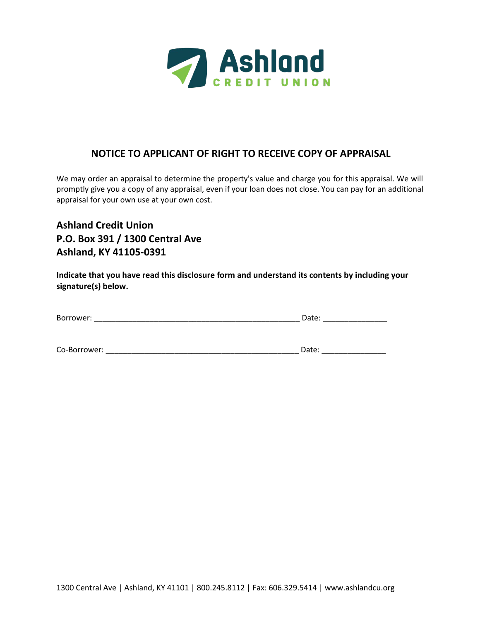

# **NOTICE TO APPLICANT OF RIGHT TO RECEIVE COPY OF APPRAISAL**

We may order an appraisal to determine the property's value and charge you for this appraisal. We will promptly give you a copy of any appraisal, even if your loan does not close. You can pay for an additional appraisal for your own use at your own cost.

# **Ashland Credit Union P.O. Box 391 / 1300 Central Ave Ashland, KY 41105‐0391**

**Indicate that you have read this disclosure form and understand its contents by including your signature(s) below.** 

| Borrower: | Date: |
|-----------|-------|
|           |       |

Co‐Borrower: \_\_\_\_\_\_\_\_\_\_\_\_\_\_\_\_\_\_\_\_\_\_\_\_\_\_\_\_\_\_\_\_\_\_\_\_\_\_\_\_\_\_\_\_\_ Date: \_\_\_\_\_\_\_\_\_\_\_\_\_\_\_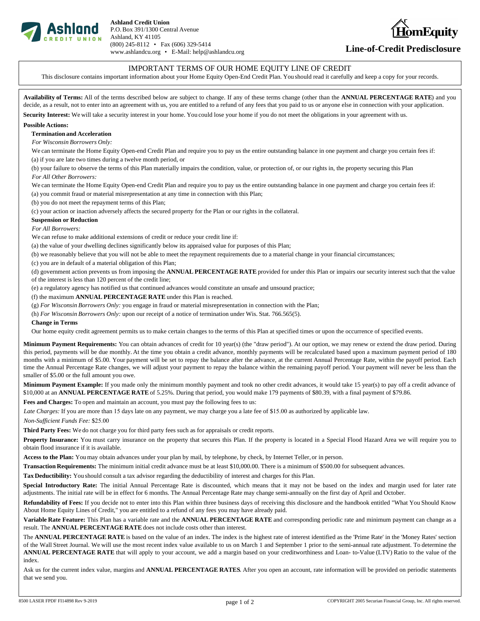

**Ashland Credit Union** P.O. Box 391/1300 Central Avenue Ashland, KY 41105 (800) 245-8112 • Fax (606) 329-5414 www.ashlandcu.org • E-Mail: help@ashlandcu.org



### **Line-of-Credit Predisclosure**

#### IMPORTANT TERMS OF OUR HOME EQUITY LINE OF CREDIT

This disclosure contains important information about your Home Equity Open-End Credit Plan. You should read it carefully and keep a copy for your records.

**Availability of Terms:** All of the terms described below are subject to change. If any of these terms change (other than the **ANNUAL PERCENTAGE RATE**) and you decide, as a result, not to enter into an agreement with us, you are entitled to a refund of any fees that you paid to us or anyone else in connection with your application.

**Security Interest:** We will take a security interest in your home. You could lose your home if you do not meet the obligations in your agreement with us.

#### **Possible Actions:**

#### **Termination and Acceleration**

*For Wisconsin Borrowers Only:*

We can terminate the Home Equity Open-end Credit Plan and require you to pay us the entire outstanding balance in one payment and charge you certain fees if: (a) if you are late two times during a twelve month period, or

(b) your failure to observe the terms of this Plan materially impairs the condition, value, or protection of, or our rights in, the property securing this Plan *For All Other Borrowers:*

We can terminate the Home Equity Open-end Credit Plan and require you to pay us the entire outstanding balance in one payment and charge you certain fees if: (a) you commit fraud or material misrepresentation at any time in connection with this Plan;

(b) you do not meet the repayment terms of this Plan;

(c) your action or inaction adversely affects the secured property for the Plan or our rights in the collateral.

#### **Suspension or Reduction**

*For All Borrowers:*

We can refuse to make additional extensions of credit or reduce your credit line if:

(a) the value of your dwelling declines significantly below its appraised value for purposes of this Plan;

(b) we reasonably believe that you will not be able to meet the repayment requirements due to a material change in your financial circumstances;

(c) you are in default of a material obligation of this Plan;

(d) government action prevents us from imposing the **ANNUAL PERCENTAGE RATE** provided for under this Plan or impairs our security interest such that the value of the interest is less than 120 percent of the credit line;

(e) a regulatory agency has notified us that continued advances would constitute an unsafe and unsound practice;

#### (f) the maximum **ANNUAL PERCENTAGE RATE** under this Plan is reached.

(g) *For Wisconsin Borrowers Only:* you engage in fraud or material misrepresentation in connection with the Plan;

(h) *For Wisconsin Borrowers Only:* upon our receipt of a notice of termination under Wis. Stat. 766.565(5).

#### **Change in Terms**

Our home equity credit agreement permits us to make certain changes to the terms of this Plan at specified times or upon the occurrence of specified events.

**Minimum Payment Requirements:** You can obtain advances of credit for 10 year(s) (the "draw period"). At our option, we may renew or extend the draw period. During this period, payments will be due monthly. At the time you obtain a credit advance, monthly payments will be recalculated based upon a maximum payment period of 180 months with a minimum of \$5.00. Your payment will be set to repay the balance after the advance, at the current Annual Percentage Rate, within the payoff period. Each time the Annual Percentage Rate changes, we will adjust your payment to repay the balance within the remaining payoff period. Your payment will never be less than the smaller of \$5.00 or the full amount you owe.

**Minimum Payment Example:** If you made only the minimum monthly payment and took no other credit advances, it would take 15 year(s) to pay off a credit advance of \$10,000 at an **ANNUAL PERCENTAGE RATE** of 5.25%. During that period, you would make 179 payments of \$80.39, with a final payment of \$79.86.

**Fees and Charges:** To open and maintain an account, you must pay the following fees to us:

*Late Charges:* If you are more than 15 days late on any payment, we may charge you a late fee of \$15.00 as authorized by applicable law.

*Non-Sufficient Funds Fee:* \$25.00

**Third Party Fees:** We do not charge you for third party fees such as for appraisals or credit reports.

Property Insurance: You must carry insurance on the property that secures this Plan. If the property is located in a Special Flood Hazard Area we will require you to obtain flood insurance if it is available.

**Access to the Plan:** You may obtain advances under your plan by mail, by telephone, by check, by Internet Teller, or in person.

**Transaction Requirements:** The minimum initial credit advance must be at least \$10,000.00. There is a minimum of \$500.00 for subsequent advances.

**Tax Deductibility:** You should consult a tax advisor regarding the deductibility of interest and charges for this Plan.

**Special Introductory Rate:** The initial Annual Percentage Rate is discounted, which means that it may not be based on the index and margin used for later rate adjustments. The initial rate will be in effect for 6 months. The Annual Percentage Rate may change semi-annually on the first day of April and October.

**Refundability of Fees:** If you decide not to enter into this Plan within three business days of receiving this disclosure and the handbook entitled "What You Should Know About Home Equity Lines of Credit," you are entitled to a refund of any fees you may have already paid.

**Variable Rate Feature:** This Plan has a variable rate and the **ANNUAL PERCENTAGE RATE** and corresponding periodic rate and minimum payment can change as a result. The **ANNUAL PERCENTAGE RATE** does not include costs other than interest.

The **ANNUAL PERCENTAGE RATE** is based on the value of an index. The index is the highest rate of interest identified as the 'Prime Rate' in the 'Money Rates' section of the Wall Street Journal. We will use the most recent index value available to us on March 1 and September 1 prior to the semi-annual rate adjustment. To determine the **ANNUAL PERCENTAGE RATE** that will apply to your account, we add a margin based on your creditworthiness and Loan- to-Value (LTV) Ratio to the value of the index.

Ask us for the current index value, margins and **ANNUAL PERCENTAGE RATES**. After you open an account, rate information will be provided on periodic statements that we send you.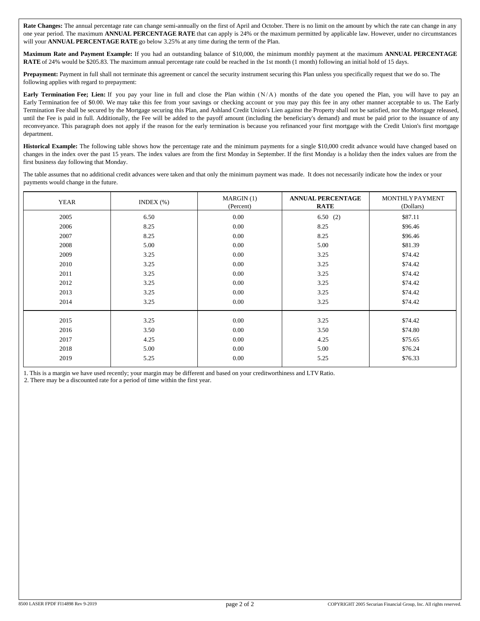Rate Changes: The annual percentage rate can change semi-annually on the first of April and October. There is no limit on the amount by which the rate can change in any one year period. The maximum **ANNUAL PERCENTAGE RATE** that can apply is 24% or the maximum permitted by applicable law. However, under no circumstances will your **ANNUAL PERCENTAGE RATE** go below 3.25% at any time during the term of the Plan.

**Maximum Rate and Payment Example:** If you had an outstanding balance of \$10,000, the minimum monthly payment at the maximum **ANNUAL PERCENTAGE RATE** of 24% would be \$205.83. The maximum annual percentage rate could be reached in the 1st month (1 month) following an initial hold of 15 days.

Prepayment: Payment in full shall not terminate this agreement or cancel the security instrument securing this Plan unless you specifically request that we do so. The following applies with regard to prepayment:

Early Termination Fee; Lien: If you pay your line in full and close the Plan within  $(N/A)$  months of the date you opened the Plan, you will have to pay an Early Termination fee of \$0.00. We may take this fee from your savings or checking account or you may pay this fee in any other manner acceptable to us. The Early Termination Fee shall be secured by the Mortgage securing this Plan, and Ashland Credit Union's Lien against the Property shall not be satisfied, nor the Mortgage released, until the Fee is paid in full. Additionally, the Fee will be added to the payoff amount (including the beneficiary's demand) and must be paid prior to the issuance of any reconveyance. This paragraph does not apply if the reason for the early termination is because you refinanced your first mortgage with the Credit Union's first mortgage department.

**Historical Example:** The following table shows how the percentage rate and the minimum payments for a single \$10,000 credit advance would have changed based on changes in the index over the past 15 years. The index values are from the first Monday in September. If the first Monday is a holiday then the index values are from the first business day following that Monday.

The table assumes that no additional credit advances were taken and that only the minimum payment was made. It does not necessarily indicate how the index or your payments would change in the future.

| <b>YEAR</b> | INDEX $(\%)$ | MARGIN(1)<br>(Percent) | <b>ANNUAL PERCENTAGE</b><br><b>RATE</b> | <b>MONTHLY PAYMENT</b><br>(Dollars) |
|-------------|--------------|------------------------|-----------------------------------------|-------------------------------------|
| 2005        | 6.50         | 0.00                   | 6.50(2)                                 | \$87.11                             |
| 2006        | 8.25         | 0.00                   | 8.25                                    | \$96.46                             |
| 2007        | 8.25         | 0.00                   | 8.25                                    | \$96.46                             |
| 2008        | 5.00         | 0.00                   | 5.00                                    | \$81.39                             |
| 2009        | 3.25         | 0.00                   | 3.25                                    | \$74.42                             |
| 2010        | 3.25         | 0.00                   | 3.25                                    | \$74.42                             |
| 2011        | 3.25         | 0.00                   | 3.25                                    | \$74.42                             |
| 2012        | 3.25         | 0.00                   | 3.25                                    | \$74.42                             |
| 2013        | 3.25         | 0.00                   | 3.25                                    | \$74.42                             |
| 2014        | 3.25         | 0.00                   | 3.25                                    | \$74.42                             |
| 2015        | 3.25         | 0.00                   | 3.25                                    | \$74.42                             |
| 2016        | 3.50         | 0.00                   | 3.50                                    | \$74.80                             |
| 2017        | 4.25         | 0.00                   | 4.25                                    | \$75.65                             |
| 2018        | 5.00         | 0.00                   | 5.00                                    | \$76.24                             |
| 2019        | 5.25         | 0.00                   | 5.25                                    | \$76.33                             |

1. This is a margin we have used recently; your margin may be different and based on your creditworthiness and LTV Ratio.

2. There may be a discounted rate for a period of time within the first year.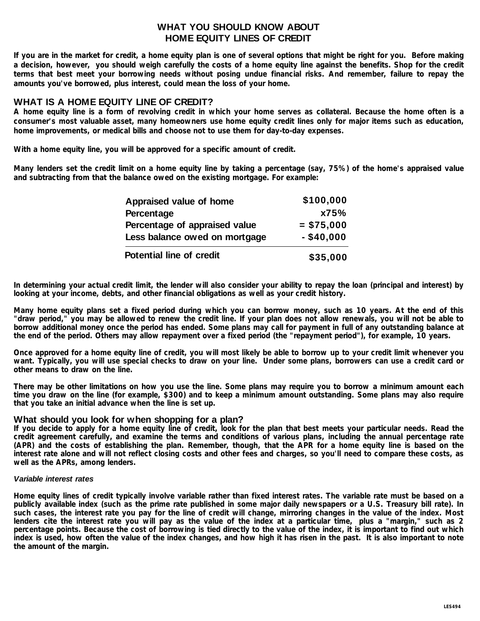### **WHAT YOU SHOULD KNOW ABOUT HOME EQUITY LINES OF CREDIT**

**If you are in the market for credit, a home equity plan is one of several options that might be right for you. Before making a decision, however, you should weigh carefully the costs of a home equity line against the benefits. Shop for the credit terms that best meet your borrowing needs without posing undue financial risks. And remember, failure to repay the amounts you've borrowed, plus interest, could mean the loss of your home.** 

### **WHAT IS A HOME EQUITY LINE OF CREDIT?**

**A home equity line is a form of revolving credit in which your home serves as collateral. Because the home often is a consumer's most valuable asset, many homeowners use home equity credit lines only for major items such as education, home improvements, or medical bills and choose not to use them for day-to-day expenses.** 

**With a home equity line, you will be approved for a specific amount of credit.** 

**Many lenders set the credit limit on a home equity line by taking a percentage (say, 75%) of the home's appraised value and subtracting from that the balance owed on the existing mortgage. For example:**

| Appraised value of home         | \$100,000    |
|---------------------------------|--------------|
| Percentage                      | x75%         |
| Percentage of appraised value   | $= $75,000$  |
| Less balance owed on mortgage   | $-$ \$40,000 |
| <b>Potential line of credit</b> | \$35,000     |

**In determining your actual credit limit, the lender will also consider your ability to repay the loan (principal and interest) by looking at your income, debts, and other financial obligations as well as your credit history.** 

**Many home equity plans set a fixed period during which you can borrow money, such as 10 years. At the end of this "draw period," you may be allowed to renew the credit line. If your plan does not allow renewals, you will not be able to borrow additional money once the period has ended. Some plans may call for payment in full of any outstanding balance at the end of the period. Others may allow repayment over a fixed period (the "repayment period"), for example, 10 years.** 

**Once approved for a home equity line of credit, you will most likely be able to borrow up to your credit limit whenever you want. Typically, you will use special checks to draw on your line. Under some plans, borrowers can use a credit card or other means to draw on the line.** 

**There may be other limitations on how you use the line. Some plans may require you to borrow a minimum amount each time you draw on the line (for example, \$300) and to keep a minimum amount outstanding. Some plans may also require that you take an initial advance when the line is set up.** 

#### **What should you look for when shopping for a plan?**

**If you decide to apply for a home equity line of credit, look for the plan that best meets your particular needs. Read the credit agreement carefully, and examine the terms and conditions of various plans, including the annual percentage rate (APR) and the costs of establishing the plan. Remember, though, that the APR for a home equity line is based on the interest rate alone and will not reflect closing costs and other fees and charges, so you'll need to compare these costs, as well as the APRs, among lenders.** 

#### *Variable interest rates*

**Home equity lines of credit typically involve variable rather than fixed interest rates. The variable rate must be based on a publicly available index (such as the prime rate published in some major daily newspapers or a U.S. Treasury bill rate). In such cases, the interest rate you pay for the line of credit will change, mirroring changes in the value of the index. Most lenders cite the interest rate you will pay as the value of the index at a particular time, plus a "margin," such as 2 percentage points. Because the cost of borrowing is tied directly to the value of the index, it is important to find out which index is used, how often the value of the index changes, and how high it has risen in the past. It is also important to note the amount of the margin.**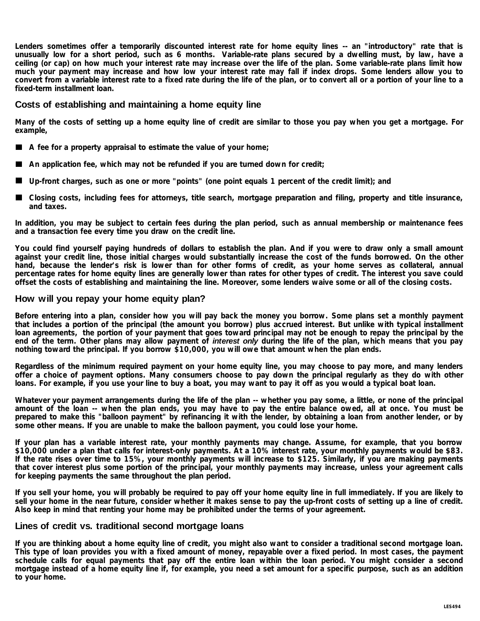Lenders sometimes offer a temporarily discounted interest rate for home equity lines -- an "introductory" rate that is unusually low for a short period, such as 6 months. Variable-rate plans secured by a dwelling must, by law, have a ceiling (or cap) on how much your interest rate may increase over the life of the plan. Some variable-rate plans limit how much your payment may increase and how low your interest rate may fall if index drops. Some lenders allow you to convert from a variable interest rate to a fixed rate during the life of the plan, or to convert all or a portion of your line to a **fixed-term installment loan.** 

### **Costs of establishing and maintaining a home equity line**

Many of the costs of setting up a home equity line of credit are similar to those you pay when you get a mortgage. For **example,** 

- **A fee for a property appraisal to estimate the value of your home;**
- **An application fee, which may not be refunded if you are turned down for credit;**
- Up-front charges, such as one or more "points" (one point equals 1 percent of the credit limit); and
- Closing costs, including fees for attorneys, title search, mortgage preparation and filing, property and title insurance, **and taxes.**

In addition, you may be subject to certain fees during the plan period, such as annual membership or maintenance fees **and a transaction fee every time you draw on the credit line.** 

You could find yourself paying hundreds of dollars to establish the plan. And if you were to draw only a small amount against your credit line, those initial charges would substantially increase the cost of the funds borrowed. On the other hand, because the lender's risk is lower than for other forms of credit, as your home serves as collateral, annual percentage rates for home equity lines are generally lower than rates for other types of credit. The interest you save could **offset the costs of establishing and maintaining the line. Moreover, some lenders waive some or all of the closing costs.** 

#### **How will you repay your home equity plan?**

Before entering into a plan, consider how you will pay back the money you borrow. Some plans set a monthly payment that includes a portion of the principal (the amount you borrow) plus accrued interest. But unlike with typical installment loan agreements, the portion of your payment that goes toward principal may not be enough to repay the principal by the end of the term. Other plans may allow payment of *interest only* during the life of the plan, which means that you pay **nothing toward the principal. If you borrow \$10,000, you will owe that amount when the plan ends.** 

Regardless of the minimum required payment on your home equity line, you may choose to pay more, and many lenders offer a choice of payment options. Many consumers choose to pay down the principal regularly as they do with other **loans. For example, if you use your line to buy a boat, you may want to pay it off as you would a typical boat loan.** 

Whatever your payment arrangements during the life of the plan -- whether you pay some, a little, or none of the principal amount of the loan -- when the plan ends, you may have to pay the entire balance owed, all at once. You must be prepared to make this "balloon payment" by refinancing it with the lender, by obtaining a loan from another lender, or by **some other means. If you are unable to make the balloon payment, you could lose your home.** 

If your plan has a variable interest rate, your monthly payments may change. Assume, for example, that you borrow \$10,000 under a plan that calls for interest-only payments. At a 10% interest rate, your monthly payments would be \$83. If the rate rises over time to 15%, your monthly payments will increase to \$125. Similarly, if you are making payments that cover interest plus some portion of the principal, your monthly payments may increase, unless your agreement calls **for keeping payments the same throughout the plan period.** 

If you sell your home, you will probably be required to pay off your home equity line in full immediately. If you are likely to sell your home in the near future, consider whether it makes sense to pay the up-front costs of setting up a line of credit. **Also keep in mind that renting your home may be prohibited under the terms of your agreement.** 

#### **Lines of credit vs. traditional second mortgage loans**

If you are thinking about a home equity line of credit, you might also want to consider a traditional second mortgage loan. This type of loan provides you with a fixed amount of money, repayable over a fixed period. In most cases, the payment schedule calls for equal payments that pay off the entire loan within the loan period. You might consider a second mortgage instead of a home equity line if, for example, you need a set amount for a specific purpose, such as an addition **to your home.**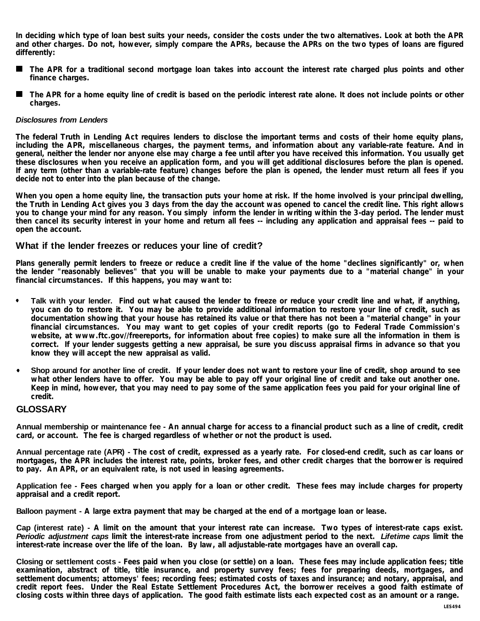In deciding which type of loan best suits your needs, consider the costs under the two alternatives. Look at both the APR and other charges. Do not, however, simply compare the APRs, because the APRs on the two types of loans are figured **differently:** 

- The APR for a traditional second mortgage loan takes into account the interest rate charged plus points and other **finance charges.**
- The APR for a home equity line of credit is based on the periodic interest rate alone. It does not include points or other **charges.**

#### *Disclosures from Lenders*

The federal Truth in Lending Act requires lenders to disclose the important terms and costs of their home equity plans, including the APR, miscellaneous charges, the payment terms, and information about any variable-rate feature. And in general, neither the lender nor anyone else may charge a fee until after you have received this information. You usually get these disclosures when you receive an application form, and you will get additional disclosures before the plan is opened. If any term (other than a variable-rate feature) changes before the plan is opened, the lender must return all fees if you **decide not to enter into the plan because of the change.** 

When you open a home equity line, the transaction puts your home at risk. If the home involved is your principal dwelling, the Truth in Lending Act gives you 3 days from the day the account was opened to cancel the credit line. This right allows you to change your mind for any reason. You simply inform the lender in writing within the 3-day period. The lender must then cancel its security interest in your home and return all fees -- including any application and appraisal fees -- paid to **open the account.** 

#### **What if the lender freezes or reduces your line of credit?**

Plans generally permit lenders to freeze or reduce a credit line if the value of the home "declines significantly" or, when the lender "reasonably believes" that you will be unable to make your payments due to a "material change" in your **financial circumstances. If this happens, you may want to:**

- Talk with your lender. Find out what caused the lender to freeze or reduce your credit line and what, if anything, you can do to restore it. You may be able to provide additional information to restore your line of credit, such as documentation showing that your house has retained its value or that there has not been a "material change" in your financial circumstances. You may want to get copies of your credit reports (go to Federal Trade Commission's website, at www.ftc.gov//freereports, for information about free copies) to make sure all the information in them is correct. If your lender suggests getting a new appraisal, be sure you discuss appraisal firms in advance so that you **know they will accept the new appraisal as valid.**
- Shop around for another line of credit. If your lender does not want to restore your line of credit, shop around to see what other lenders have to offer. You may be able to pay off your original line of credit and take out another one. Keep in mind, however, that you may need to pay some of the same application fees you paid for your original line of **credit.**

#### **GLOSSARY**

Annual membership or maintenance fee - An annual charge for access to a financial product such as a line of credit, credit **card, or account. The fee is charged regardless of whether or not the product is used.**

Annual percentage rate (APR) - The cost of credit, expressed as a yearly rate. For closed-end credit, such as car loans or mortgages, the APR includes the interest rate, points, broker fees, and other credit charges that the borrower is required **to pay. An APR, or an equivalent rate, is not used in leasing agreements.**

Application fee - Fees charged when you apply for a loan or other credit. These fees may include charges for property **appraisal and a credit report.**

Balloon payment - A large extra payment that may be charged at the end of a mortgage loan or lease.

Cap (interest rate) - A limit on the amount that your interest rate can increase. Two types of interest-rate caps exist. Periodic adjustment caps limit the interest-rate increase from one adjustment period to the next. Lifetime caps limit the **interest-rate increase over the life of the loan. By law, all adjustable-rate mortgages have an overall cap.**

Closing or settlement costs - Fees paid when you close (or settle) on a loan. These fees may include application fees; title examination, abstract of title, title insurance, and property survey fees; fees for preparing deeds, mortgages, and settlement documents; attorneys' fees; recording fees; estimated costs of taxes and insurance; and notary, appraisal, and credit report fees. Under the Real Estate Settlement Procedures Act, the borrower receives a good faith estimate of **closing costs within three days of application. The good faith estimate lists each expected cost as an amount or a range.**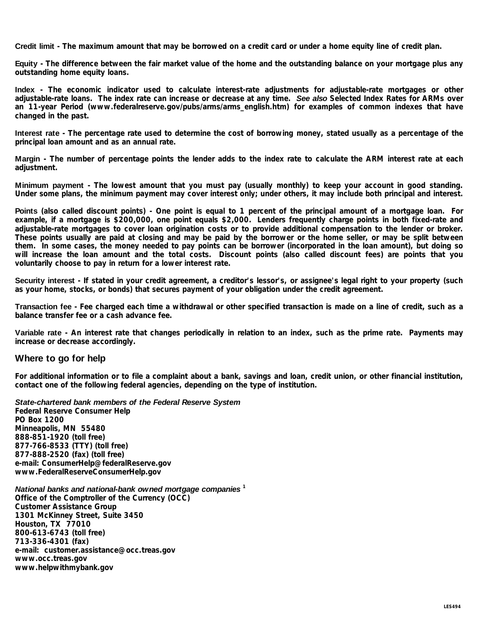Credit limit - The maximum amount that may be borrowed on a credit card or under a home equity line of credit plan.

Equity - The difference between the fair market value of the home and the outstanding balance on your mortgage plus any **outstanding home equity loans.**

**Index - The economic indicator used to calculate interest-rate adjustments for adjustable-rate mortgages or other** adjustable-rate loans. The index rate can increase or decrease at any time. See also Selected Index Rates for ARMs over **an 11-year Period (www.federalreserve.gov/pubs/arms/arms\_english.htm) for examples of common indexes that have changed in the past.**

Interest rate - The percentage rate used to determine the cost of borrowing money, stated usually as a percentage of the **principal loan amount and as an annual rate.**

Margin - The number of percentage points the lender adds to the index rate to calculate the ARM interest rate at each **adjustment.**

Minimum payment - The lowest amount that you must pay (usually monthly) to keep your account in good standing. Under some plans, the minimum payment may cover interest only; under others, it may include both principal and interest.

Points (also called discount points) - One point is equal to 1 percent of the principal amount of a mortgage loan. For example, if a mortgage is \$200,000, one point equals \$2,000. Lenders frequently charge points in both fixed-rate and adjustable-rate mortgages to cover loan origination costs or to provide additional compensation to the lender or broker. These points usually are paid at closing and may be paid by the borrower or the home seller, or may be split between them. In some cases, the money needed to pay points can be borrower (incorporated in the loan amount), but doing so will increase the loan amount and the total costs. Discount points (also called discount fees) are points that you **voluntarily choose to pay in return for a lower interest rate.**

Security interest - If stated in your credit agreement, a creditor's lessor's, or assignee's legal right to your property (such **as your home, stocks, or bonds) that secures payment of your obligation under the credit agreement.**

Transaction fee - Fee charged each time a withdrawal or other specified transaction is made on a line of credit, such as a **balance transfer fee or a cash advance fee.**

Variable rate - An interest rate that changes periodically in relation to an index, such as the prime rate. Payments may **increase or decrease accordingly.** 

#### **Where to go for help**

For additional information or to file a complaint about a bank, savings and loan, credit union, or other financial institution, **contact one of the following federal agencies, depending on the type of institution.**

*State-chartered bank members of the Federal Reserve System*

**Federal Reserve Consumer Help PO Box 1200 Minneapolis, MN 55480 888-851-1920 (toll free) 877-766-8533 (TTY) (toll free) 877-888-2520 (fax) (toll free) e-mail: ConsumerHelp@federalReserve.gov www.FederalReserveConsumerHelp.gov**

*National banks and national-bank owned mortgage companies* **1**

**Office of the Comptroller of the Currency (OCC) Customer Assistance Group 1301 McKinney Street, Suite 3450 Houston, TX 77010 800-613-6743 (toll free) 713-336-4301 (fax) e-mail: customer.assistance@occ.treas.gov www.occ.treas.gov www.helpwithmybank.gov**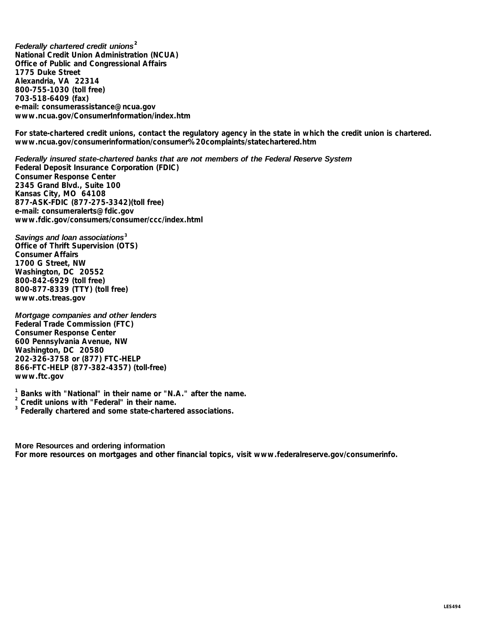*Federally chartered credit unions* **2 National Credit Union Administration (NCUA) Office of Public and Congressional Affairs 1775 Duke Street Alexandria, VA 22314 800-755-1030 (toll free) 703-518-6409 (fax) e-mail: consumerassistance@ncua.gov www.ncua.gov/ConsumerInformation/index.htm**

**For state-chartered credit unions, contact the regulatory agency in the state in which the credit union is chartered. www.ncua.gov/consumerinformation/consumer%20complaints/statechartered.htm**

#### *Federally insured state-chartered banks that are not members of the Federal Reserve System*

**Federal Deposit Insurance Corporation (FDIC) Consumer Response Center 2345 Grand Blvd., Suite 100 Kansas City, MO 64108 877-ASK-FDIC (877-275-3342)(toll free) e-mail: consumeralerts@fdic.gov www.fdic.gov/consumers/consumer/ccc/index.html**

#### *Savings and loan associations* **3**

**Office of Thrift Supervision (OTS) Consumer Affairs 1700 G Street, NW Washington, DC 20552 800-842-6929 (toll free) 800-877-8339 (TTY) (toll free) www.ots.treas.gov**

#### *Mortgage companies and other lenders*

**Federal Trade Commission (FTC) Consumer Response Center 600 Pennsylvania Avenue, NW Washington, DC 20580 202-326-3758 or (877) FTC-HELP 866-FTC-HELP (877-382-4357) (toll-free) www.ftc.gov**

**Banks with "National" in their name or "N.A." after the name. 1**

**Credit unions with "Federal" in their name. 2**

**Federally chartered and some state-chartered associations. 3**

#### **More Resources and ordering information**

**For more resources on mortgages and other financial topics, visit www.federalreserve.gov/consumerinfo.**